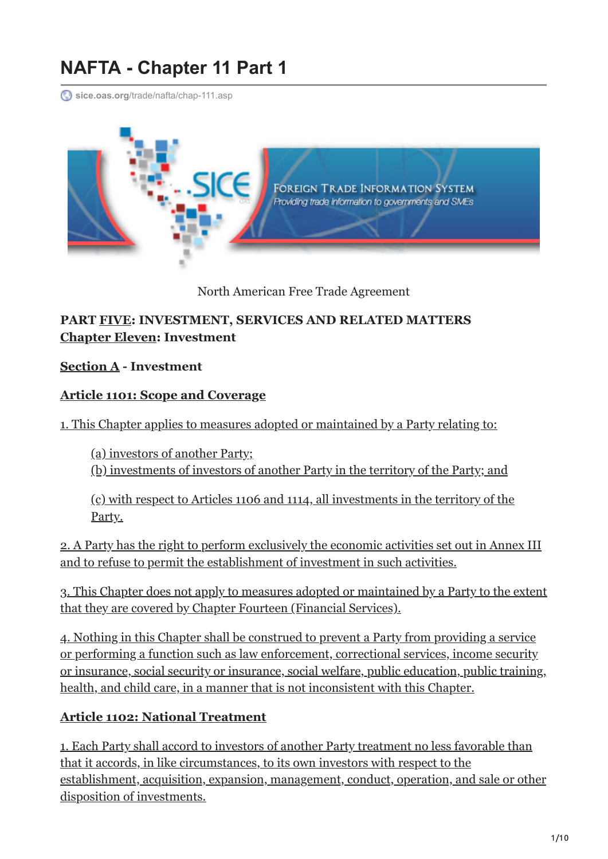# **NAFTA - Chapter 11 Part 1**

**sice.oas.org**[/trade/nafta/chap-111.asp](http://www.sice.oas.org/trade/nafta/chap-111.asp)



North American Free Trade Agreement

**PART FIVE: INVESTMENT, SERVICES AND RELATED MATTERS Chapter Eleven: Investment**

#### **Section A - Investment**

#### **Article 1101: Scope and Coverage**

1. This Chapter applies to measures adopted or maintained by a Party relating to:

(a) investors of another Party;

(b) investments of investors of another Party in the territory of the Party; and

(c) with respect to Articles 1106 and 1114, all investments in the territory of the Party.

2. A Party has the right to perform exclusively the economic activities set out in Annex III and to refuse to permit the establishment of investment in such activities.

3. This Chapter does not apply to measures adopted or maintained by a Party to the extent that they are covered by Chapter Fourteen (Financial Services).

4. Nothing in this Chapter shall be construed to prevent a Party from providing a service or performing a function such as law enforcement, correctional services, income security or insurance, social security or insurance, social welfare, public education, public training, health, and child care, in a manner that is not inconsistent with this Chapter.

#### **Article 1102: National Treatment**

1. Each Party shall accord to investors of another Party treatment no less favorable than that it accords, in like circumstances, to its own investors with respect to the establishment, acquisition, expansion, management, conduct, operation, and sale or other disposition of investments.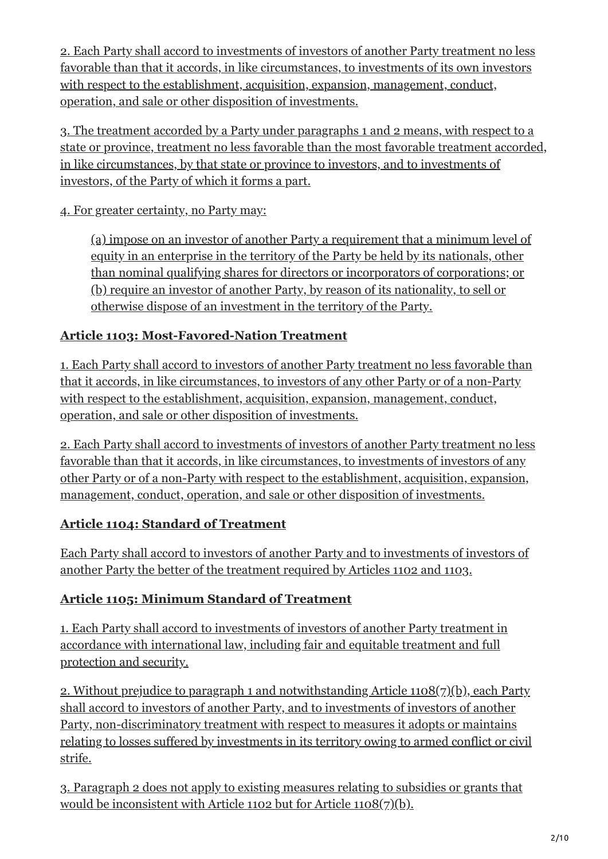2. Each Party shall accord to investments of investors of another Party treatment no less favorable than that it accords, in like circumstances, to investments of its own investors with respect to the establishment, acquisition, expansion, management, conduct, operation, and sale or other disposition of investments.

3. The treatment accorded by a Party under paragraphs 1 and 2 means, with respect to a state or province, treatment no less favorable than the most favorable treatment accorded, in like circumstances, by that state or province to investors, and to investments of investors, of the Party of which it forms a part.

4. For greater certainty, no Party may:

(a) impose on an investor of another Party a requirement that a minimum level of equity in an enterprise in the territory of the Party be held by its nationals, other than nominal qualifying shares for directors or incorporators of corporations; or (b) require an investor of another Party, by reason of its nationality, to sell or otherwise dispose of an investment in the territory of the Party.

# **Article 1103: Most-Favored-Nation Treatment**

1. Each Party shall accord to investors of another Party treatment no less favorable than that it accords, in like circumstances, to investors of any other Party or of a non-Party with respect to the establishment, acquisition, expansion, management, conduct, operation, and sale or other disposition of investments.

2. Each Party shall accord to investments of investors of another Party treatment no less favorable than that it accords, in like circumstances, to investments of investors of any other Party or of a non-Party with respect to the establishment, acquisition, expansion, management, conduct, operation, and sale or other disposition of investments.

## **Article 1104: Standard of Treatment**

Each Party shall accord to investors of another Party and to investments of investors of another Party the better of the treatment required by Articles 1102 and 1103.

## **Article 1105: Minimum Standard of Treatment**

1. Each Party shall accord to investments of investors of another Party treatment in accordance with international law, including fair and equitable treatment and full protection and security.

2. Without prejudice to paragraph 1 and notwithstanding Article 1108(7)(b), each Party shall accord to investors of another Party, and to investments of investors of another Party, non-discriminatory treatment with respect to measures it adopts or maintains relating to losses suffered by investments in its territory owing to armed conflict or civil strife.

3. Paragraph 2 does not apply to existing measures relating to subsidies or grants that would be inconsistent with Article 1102 but for Article 1108(7)(b).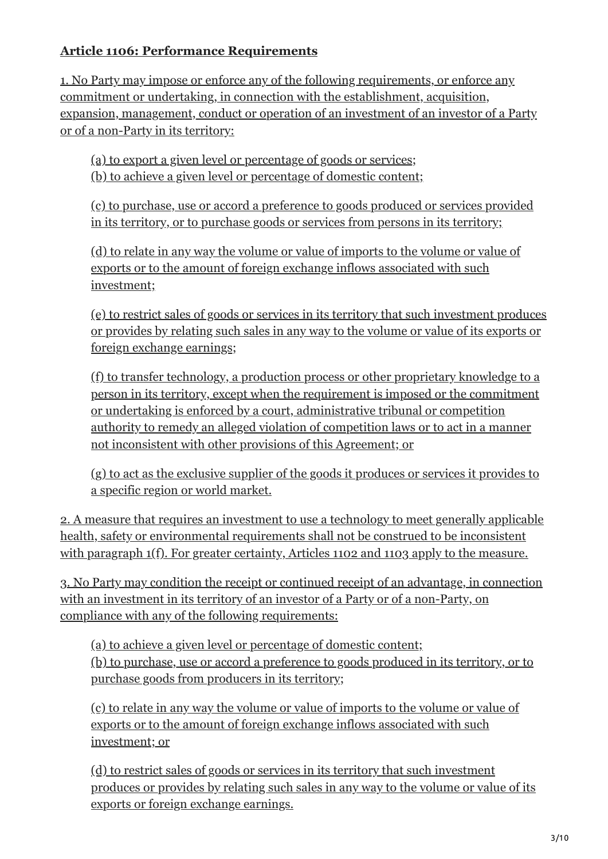### **Article 1106: Performance Requirements**

1. No Party may impose or enforce any of the following requirements, or enforce any commitment or undertaking, in connection with the establishment, acquisition, expansion, management, conduct or operation of an investment of an investor of a Party or of a non-Party in its territory:

(a) to export a given level or percentage of goods or services; (b) to achieve a given level or percentage of domestic content;

(c) to purchase, use or accord a preference to goods produced or services provided in its territory, or to purchase goods or services from persons in its territory;

(d) to relate in any way the volume or value of imports to the volume or value of exports or to the amount of foreign exchange inflows associated with such investment;

(e) to restrict sales of goods or services in its territory that such investment produces or provides by relating such sales in any way to the volume or value of its exports or foreign exchange earnings;

(f) to transfer technology, a production process or other proprietary knowledge to a person in its territory, except when the requirement is imposed or the commitment or undertaking is enforced by a court, administrative tribunal or competition authority to remedy an alleged violation of competition laws or to act in a manner not inconsistent with other provisions of this Agreement; or

(g) to act as the exclusive supplier of the goods it produces or services it provides to a specific region or world market.

2. A measure that requires an investment to use a technology to meet generally applicable health, safety or environmental requirements shall not be construed to be inconsistent with paragraph 1(f). For greater certainty, Articles 1102 and 1103 apply to the measure.

3. No Party may condition the receipt or continued receipt of an advantage, in connection with an investment in its territory of an investor of a Party or of a non-Party, on compliance with any of the following requirements:

(a) to achieve a given level or percentage of domestic content; (b) to purchase, use or accord a preference to goods produced in its territory, or to purchase goods from producers in its territory;

(c) to relate in any way the volume or value of imports to the volume or value of exports or to the amount of foreign exchange inflows associated with such investment; or

(d) to restrict sales of goods or services in its territory that such investment produces or provides by relating such sales in any way to the volume or value of its exports or foreign exchange earnings.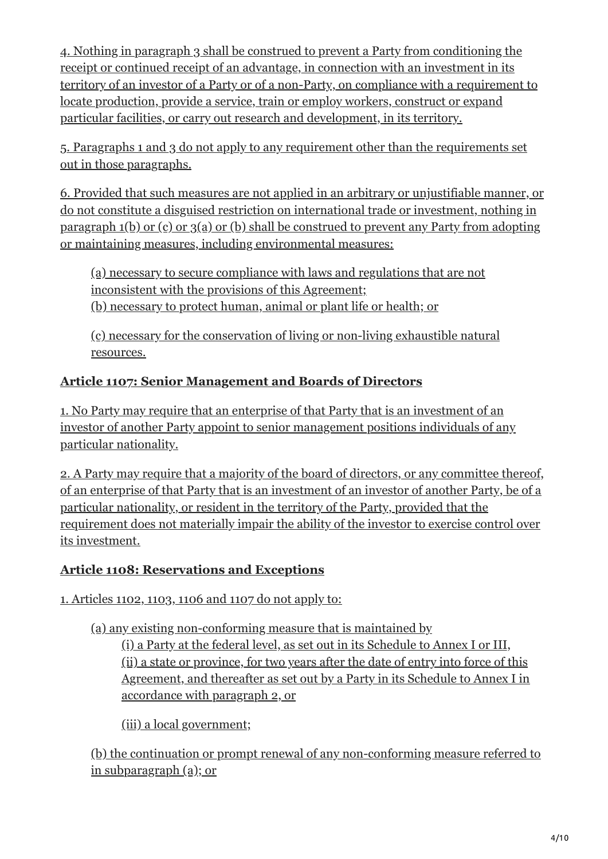4. Nothing in paragraph 3 shall be construed to prevent a Party from conditioning the receipt or continued receipt of an advantage, in connection with an investment in its territory of an investor of a Party or of a non-Party, on compliance with a requirement to locate production, provide a service, train or employ workers, construct or expand particular facilities, or carry out research and development, in its territory.

5. Paragraphs 1 and 3 do not apply to any requirement other than the requirements set out in those paragraphs.

6. Provided that such measures are not applied in an arbitrary or unjustifiable manner, or do not constitute a disguised restriction on international trade or investment, nothing in paragraph  $1(b)$  or  $(c)$  or  $3(a)$  or  $(b)$  shall be construed to prevent any Party from adopting or maintaining measures, including environmental measures:

(a) necessary to secure compliance with laws and regulations that are not inconsistent with the provisions of this Agreement; (b) necessary to protect human, animal or plant life or health; or

(c) necessary for the conservation of living or non-living exhaustible natural resources.

## **Article 1107: Senior Management and Boards of Directors**

1. No Party may require that an enterprise of that Party that is an investment of an investor of another Party appoint to senior management positions individuals of any particular nationality.

2. A Party may require that a majority of the board of directors, or any committee thereof, of an enterprise of that Party that is an investment of an investor of another Party, be of a particular nationality, or resident in the territory of the Party, provided that the requirement does not materially impair the ability of the investor to exercise control over its investment.

## **Article 1108: Reservations and Exceptions**

1. Articles 1102, 1103, 1106 and 1107 do not apply to:

(a) any existing non-conforming measure that is maintained by

(i) a Party at the federal level, as set out in its Schedule to Annex I or III, (ii) a state or province, for two years after the date of entry into force of this Agreement, and thereafter as set out by a Party in its Schedule to Annex I in accordance with paragraph 2, or

(iii) a local government;

(b) the continuation or prompt renewal of any non-conforming measure referred to in subparagraph (a); or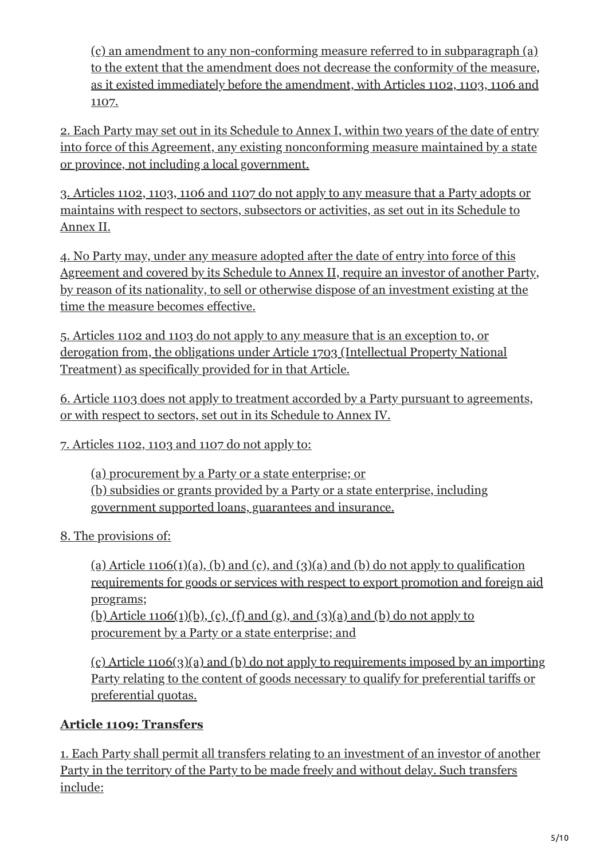(c) an amendment to any non-conforming measure referred to in subparagraph (a) to the extent that the amendment does not decrease the conformity of the measure, as it existed immediately before the amendment, with Articles 1102, 1103, 1106 and 1107.

2. Each Party may set out in its Schedule to Annex I, within two years of the date of entry into force of this Agreement, any existing nonconforming measure maintained by a state or province, not including a local government.

3. Articles 1102, 1103, 1106 and 1107 do not apply to any measure that a Party adopts or maintains with respect to sectors, subsectors or activities, as set out in its Schedule to Annex II.

4. No Party may, under any measure adopted after the date of entry into force of this Agreement and covered by its Schedule to Annex II, require an investor of another Party, by reason of its nationality, to sell or otherwise dispose of an investment existing at the time the measure becomes effective.

5. Articles 1102 and 1103 do not apply to any measure that is an exception to, or derogation from, the obligations under Article 1703 (Intellectual Property National Treatment) as specifically provided for in that Article.

6. Article 1103 does not apply to treatment accorded by a Party pursuant to agreements, or with respect to sectors, set out in its Schedule to Annex IV.

7. Articles 1102, 1103 and 1107 do not apply to:

(a) procurement by a Party or a state enterprise; or (b) subsidies or grants provided by a Party or a state enterprise, including government supported loans, guarantees and insurance.

8. The provisions of:

(a) Article 1106(1)(a), (b) and (c), and (3)(a) and (b) do not apply to qualification requirements for goods or services with respect to export promotion and foreign aid programs;

 $\underline{(b)}$  Article 1106(1)(b), (c), (f) and (g), and (3)(a) and (b) do not apply to procurement by a Party or a state enterprise; and

(c) Article 1106(3)(a) and (b) do not apply to requirements imposed by an importing Party relating to the content of goods necessary to qualify for preferential tariffs or preferential quotas.

## **Article 1109: Transfers**

1. Each Party shall permit all transfers relating to an investment of an investor of another Party in the territory of the Party to be made freely and without delay. Such transfers include: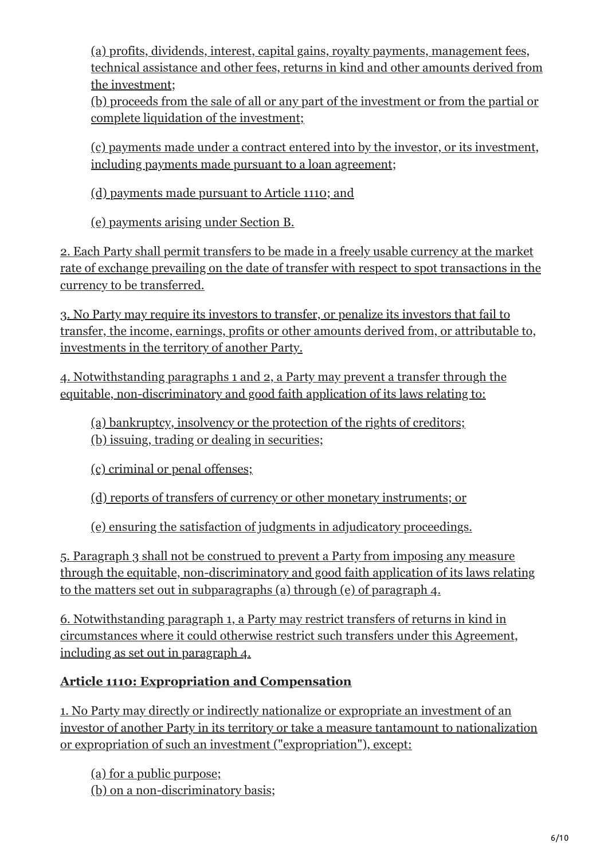(a) profits, dividends, interest, capital gains, royalty payments, management fees, technical assistance and other fees, returns in kind and other amounts derived from the investment;

(b) proceeds from the sale of all or any part of the investment or from the partial or complete liquidation of the investment;

(c) payments made under a contract entered into by the investor, or its investment, including payments made pursuant to a loan agreement;

(d) payments made pursuant to Article 1110; and

(e) payments arising under Section B.

2. Each Party shall permit transfers to be made in a freely usable currency at the market rate of exchange prevailing on the date of transfer with respect to spot transactions in the currency to be transferred.

3. No Party may require its investors to transfer, or penalize its investors that fail to transfer, the income, earnings, profits or other amounts derived from, or attributable to, investments in the territory of another Party.

4. Notwithstanding paragraphs 1 and 2, a Party may prevent a transfer through the equitable, non-discriminatory and good faith application of its laws relating to:

(a) bankruptcy, insolvency or the protection of the rights of creditors; (b) issuing, trading or dealing in securities;

(c) criminal or penal offenses;

(d) reports of transfers of currency or other monetary instruments; or

(e) ensuring the satisfaction of judgments in adjudicatory proceedings.

5. Paragraph 3 shall not be construed to prevent a Party from imposing any measure through the equitable, non-discriminatory and good faith application of its laws relating to the matters set out in subparagraphs (a) through (e) of paragraph 4.

6. Notwithstanding paragraph 1, a Party may restrict transfers of returns in kind in circumstances where it could otherwise restrict such transfers under this Agreement, including as set out in paragraph 4.

#### **Article 1110: Expropriation and Compensation**

1. No Party may directly or indirectly nationalize or expropriate an investment of an investor of another Party in its territory or take a measure tantamount to nationalization or expropriation of such an investment ("expropriation"), except:

(a) for a public purpose; (b) on a non-discriminatory basis;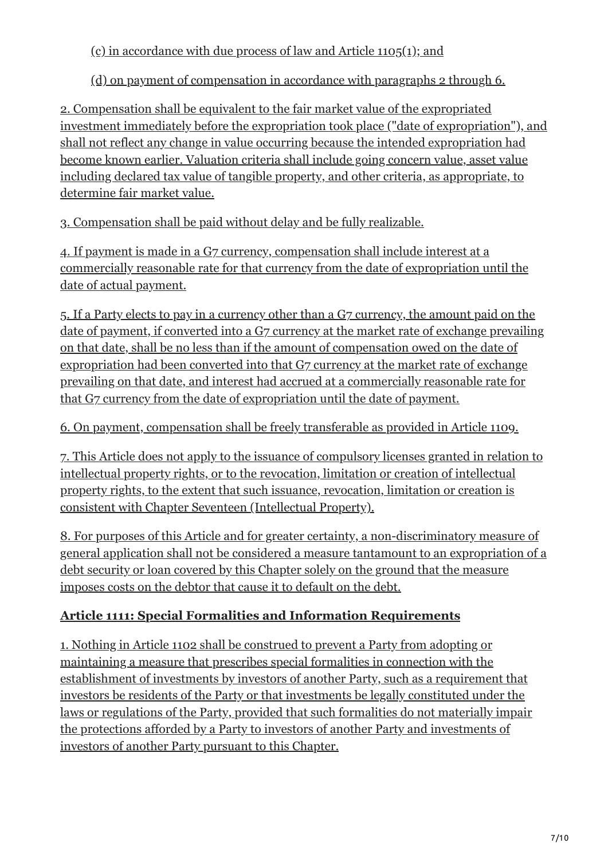### (c) in accordance with due process of law and Article 1105(1); and

(d) on payment of compensation in accordance with paragraphs 2 through 6.

2. Compensation shall be equivalent to the fair market value of the expropriated investment immediately before the expropriation took place ("date of expropriation"), and shall not reflect any change in value occurring because the intended expropriation had become known earlier. Valuation criteria shall include going concern value, asset value including declared tax value of tangible property, and other criteria, as appropriate, to determine fair market value.

3. Compensation shall be paid without delay and be fully realizable.

4. If payment is made in a G7 currency, compensation shall include interest at a commercially reasonable rate for that currency from the date of expropriation until the date of actual payment.

5. If a Party elects to pay in a currency other than a G7 currency, the amount paid on the date of payment, if converted into a G7 currency at the market rate of exchange prevailing on that date, shall be no less than if the amount of compensation owed on the date of expropriation had been converted into that G7 currency at the market rate of exchange prevailing on that date, and interest had accrued at a commercially reasonable rate for that G7 currency from the date of expropriation until the date of payment.

6. On payment, compensation shall be freely transferable as provided in Article 1109.

7. This Article does not apply to the issuance of compulsory licenses granted in relation to intellectual property rights, or to the revocation, limitation or creation of intellectual property rights, to the extent that such issuance, revocation, limitation or creation is consistent with Chapter Seventeen (Intellectual Property).

8. For purposes of this Article and for greater certainty, a non-discriminatory measure of general application shall not be considered a measure tantamount to an expropriation of a debt security or loan covered by this Chapter solely on the ground that the measure imposes costs on the debtor that cause it to default on the debt.

## **Article 1111: Special Formalities and Information Requirements**

1. Nothing in Article 1102 shall be construed to prevent a Party from adopting or maintaining a measure that prescribes special formalities in connection with the establishment of investments by investors of another Party, such as a requirement that investors be residents of the Party or that investments be legally constituted under the laws or regulations of the Party, provided that such formalities do not materially impair the protections afforded by a Party to investors of another Party and investments of investors of another Party pursuant to this Chapter.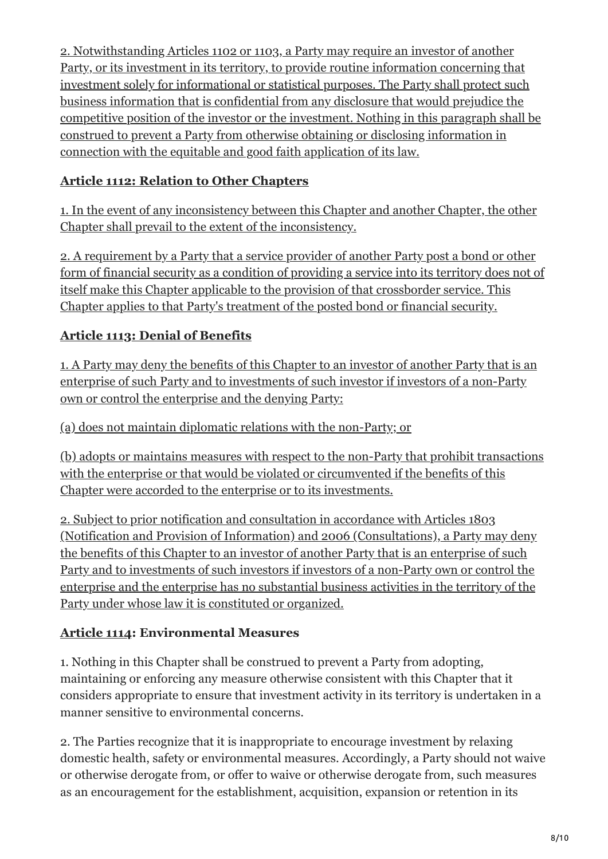2. Notwithstanding Articles 1102 or 1103, a Party may require an investor of another Party, or its investment in its territory, to provide routine information concerning that investment solely for informational or statistical purposes. The Party shall protect such business information that is confidential from any disclosure that would prejudice the competitive position of the investor or the investment. Nothing in this paragraph shall be construed to prevent a Party from otherwise obtaining or disclosing information in connection with the equitable and good faith application of its law.

## **Article 1112: Relation to Other Chapters**

1. In the event of any inconsistency between this Chapter and another Chapter, the other Chapter shall prevail to the extent of the inconsistency.

2. A requirement by a Party that a service provider of another Party post a bond or other form of financial security as a condition of providing a service into its territory does not of itself make this Chapter applicable to the provision of that crossborder service. This Chapter applies to that Party's treatment of the posted bond or financial security.

# **Article 1113: Denial of Benefits**

1. A Party may deny the benefits of this Chapter to an investor of another Party that is an enterprise of such Party and to investments of such investor if investors of a non-Party own or control the enterprise and the denying Party:

(a) does not maintain diplomatic relations with the non-Party; or

(b) adopts or maintains measures with respect to the non-Party that prohibit transactions with the enterprise or that would be violated or circumvented if the benefits of this Chapter were accorded to the enterprise or to its investments.

2. Subject to prior notification and consultation in accordance with Articles 1803 (Notification and Provision of Information) and 2006 (Consultations), a Party may deny the benefits of this Chapter to an investor of another Party that is an enterprise of such Party and to investments of such investors if investors of a non-Party own or control the enterprise and the enterprise has no substantial business activities in the territory of the Party under whose law it is constituted or organized.

## **Article 1114: Environmental Measures**

1. Nothing in this Chapter shall be construed to prevent a Party from adopting, maintaining or enforcing any measure otherwise consistent with this Chapter that it considers appropriate to ensure that investment activity in its territory is undertaken in a manner sensitive to environmental concerns.

2. The Parties recognize that it is inappropriate to encourage investment by relaxing domestic health, safety or environmental measures. Accordingly, a Party should not waive or otherwise derogate from, or offer to waive or otherwise derogate from, such measures as an encouragement for the establishment, acquisition, expansion or retention in its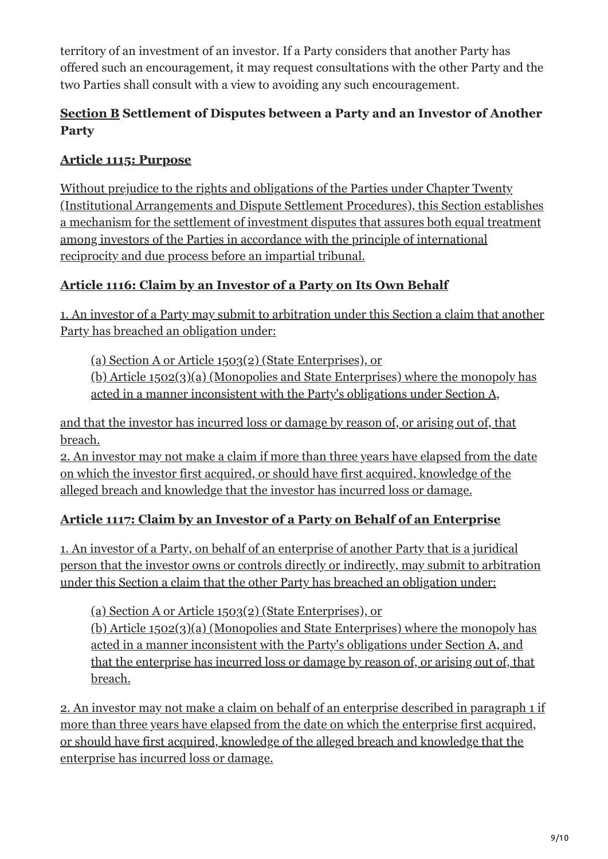territory of an investment of an investor. If a Party considers that another Party has offered such an encouragement, it may request consultations with the other Party and the two Parties shall consult with a view to avoiding any such encouragement.

#### **Section B Settlement of Disputes between a Party and an Investor of Another Party**

#### **Article 1115: Purpose**

Without prejudice to the rights and obligations of the Parties under Chapter Twenty (Institutional Arrangements and Dispute Settlement Procedures), this Section establishes a mechanism for the settlement of investment disputes that assures both equal treatment among investors of the Parties in accordance with the principle of international reciprocity and due process before an impartial tribunal.

#### **Article 1116: Claim by an Investor of a Party on Its Own Behalf**

1. An investor of a Party may submit to arbitration under this Section a claim that another Party has breached an obligation under:

(a) Section A or Article 1503(2) (State Enterprises), or

(b) Article 1502(3)(a) (Monopolies and State Enterprises) where the monopoly has acted in a manner inconsistent with the Party's obligations under Section A,

and that the investor has incurred loss or damage by reason of, or arising out of, that breach.

2. An investor may not make a claim if more than three years have elapsed from the date on which the investor first acquired, or should have first acquired, knowledge of the alleged breach and knowledge that the investor has incurred loss or damage.

#### **Article 1117: Claim by an Investor of a Party on Behalf of an Enterprise**

1. An investor of a Party, on behalf of an enterprise of another Party that is a juridical person that the investor owns or controls directly or indirectly, may submit to arbitration under this Section a claim that the other Party has breached an obligation under:

(a) Section A or Article 1503(2) (State Enterprises), or

(b) Article 1502(3)(a) (Monopolies and State Enterprises) where the monopoly has acted in a manner inconsistent with the Party's obligations under Section A, and that the enterprise has incurred loss or damage by reason of, or arising out of, that breach.

2. An investor may not make a claim on behalf of an enterprise described in paragraph 1 if more than three years have elapsed from the date on which the enterprise first acquired, or should have first acquired, knowledge of the alleged breach and knowledge that the enterprise has incurred loss or damage.